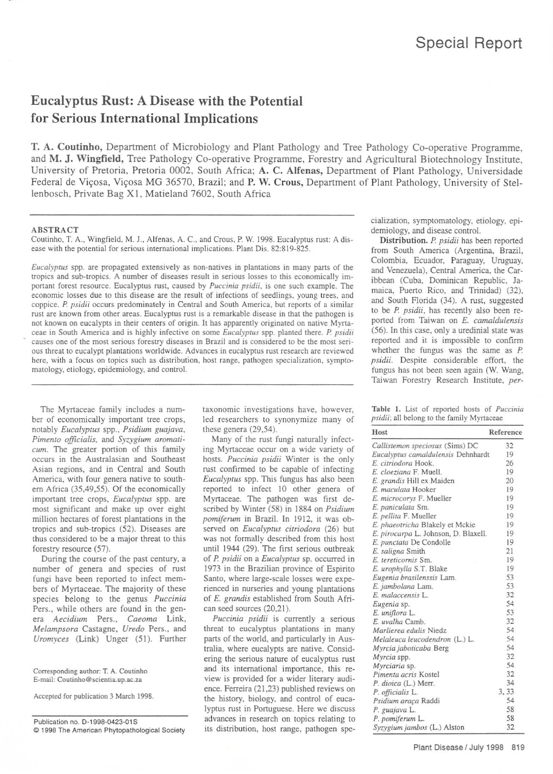## Eucalyptus Rust: A Disease with the Potential for Serious International Implications

T. A. Coutinho, Department of Microbiology and Plant Pathology and Tree Pathology Co-operative Programme. and M. J. Wingfield, Tree Pathology Co-operative Programme, Forestry and Agricultural Biotechnology Institute, University of Pretoria, Pretoria 0002, South Africa; A. C, Alfenas, Department of Plant Pathology, Universidade Federal de Viçosa, Viçosa MG 36570, Brazil; and P. W. Crous, Department of Plant Pathology, University of Stellenbosch, Private Bag XI. Matieland 7602, South Africa

Coutinho, T. A.. Wingfield, M. J.. Alfenas, A. c.. and Crous. P. W. 1998. Eucalyptus rust: A disease with the potential for serious international implications. Plant Dis. 82:819-825.

*Euca/yprus* spp. are propagated extensively as non-natives in plantations in many parts of the tropics and sub-tropics. A number of diseases result in serious losses to this economically important forest resource. Eucalyptus rust, caused by *Puccinia psidii*, is one such example. The economic losses due to this disease are the result of infections of seedlings. young trees, and coppice. *P. psidii* occurs predominately in Central and South America, but reports of a similar rust are known from other areas. Eucalyptus rust is a remarkable disease in that the pathogen is not known on eucalypts in their centers of origin. It has apparently originated on native Myrtaceae in South America and is highly infective on some *Eucalyptus* spp. planted there. *P. psidii* causes one of the most serious forestry diseases in Brazil and is considered to be the most serious threat to eucalypt plantations worldwide. Advances in eucalyptus rust research are reviewed here, with a focus on topics such as distribution, host range, pathogen specialization, symptomatology, etiology, epidemiology, and control.

The Myrtaceae family includes a number of economically important tree crops, notably *EucalYPlus* spp.. *Psidium guajava, Pimento officialis.* and *Syz.ygium aromaticum.* The greater portion of this family occurs in the Australasian and Southeast Asian regions, and in Central and South America, with four genera native to southern Africa (35,49.55). Of the economically important tree crops, *Eucalyptus* spp. are most significant and make up over eight million hectares of forest plantations in the tropics and sub-tropics (52). Diseases are thus considered to be a major threat to this forestry resource (57).

During the course of the past century, a number of genera and species of rust fungi have been reported to infect members of Myrtaceae. The majority of these species belong to the genus *Puccinia* Pers., while others are found in the genera *Aecidium* Pers.. *Caeoma* Link, *Melampsora* Castagne, *Uredo* Pers.. and *Uromyces* (Link) Unger (51). Further

Corresponding aulhor: T, A. Coutinho E-mail: Coutinho@scientia.up.ac.za

Accepled for publication 3 March 1998.

Publication no. D-1998-0423-01S  $© 1998$  The American Phytopathological Society taxonomic investigations have, however, led researchers to synonymize many of these genera (29,54).

Many of the rust fungi naturally infecting Myrtaceae occur on a wide variety of hosts. *Puccinia psidii* Winter is the only rust confimed to be capable of infecting *Eucalyprus* spp. This fungus has also been reported to infect 10 other genera of Mynaceae. The pathogen was first described by Winter (58) in 1884 on *Psidium pomiferum* in Brazil. In 1912, it was observed on *Eucalyptus cirriodora* (26) but was not formally described from this host until 1944 (29). The first serious outbreak of *P.psidii* on a *Eucalyptus* sp. occurred in 1973 in the Brazilian province of Espirito Santo, where large-scale losses were experienced in nurseries and young plantations of *E. grandis* established from South African seed sources (20,21).

*Puccinia psidii* is currently a serious threat to eucalyptus plantations in many parts of the world, and particularly in Australia, where eucalypts are native. Considering the serious nature of eucalyptus rust and its international importance. this review is provided for a wider literary audience. Ferreira (21.23) published reviews on the history, biology, and control of euca. lyptus rust in Portuguese. Here we discuss advances in research on topics relating to its distribution, host range, pathogen specialization, symptomatology, etiology, epidemiology, and disease control.

Distribution. *P. psidii* has been reported from South America (Argentina, Brazil, Colombia. Ecuador, Paraguay. Uruguay. and Venezuela). Central America. the Caribbean (Cuba. Dominican Republic, Jamaica, Puerto Rico, and Trinidad) (32), and South Florida (34). A rust, suggested to be *P. psidii,* has recently also been reponed from Taiwan on *E. camaldulensis* (56). In this case, only a uredinial state was reported and it is impossible to confirm whether the fungus was the same as *P. psidii.* Despite considerable effort, the fungus has not been seen again (W. Wang. Taiwan Forestry Research Institute. *per-*

|  |  |                                                    |  | Table 1. List of reported hosts of Puccinia |
|--|--|----------------------------------------------------|--|---------------------------------------------|
|  |  | <i>psidii</i> ; all belong to the family Myrtaceae |  |                                             |

| Host                                 | Reference |
|--------------------------------------|-----------|
| Callistemon speciosus (Sims) DC      | 32        |
| Eucalyptus camaldulensis Dehnhardt   | 19        |
| E. citriodora Hook.                  | 26        |
| E. cloeziana F. Muell.               | 19        |
| E. grandis Hill ex Maiden            | 20        |
| E. maculata Hooker                   | 19        |
| E. microcorys F. Mueller             | 19        |
| E. paniculata Sm.                    | 19        |
| E. pellita F. Mueller                | 19        |
| E. phaeotricha Blakely et Mckie      | 19        |
| E. pirocarpa L. Johnson, D. Blaxell. | 19        |
| E. punctata De Condolle              | 19        |
| E. saligna Smith                     | 21        |
| E. tereticornis Sm.                  | 19        |
| E. urophylla S.T. Blake              | 19        |
| Eugenia brasilenssis Lam.            | 53        |
| E. jambolana Lam.                    | 53        |
| E. malaccensis L.                    | 32        |
| Eugenia sp.                          | 54        |
| E. uniflora L.                       | 53        |
| E. uvalha Camb.                      | 32        |
| Marlierea edulis Niedz               | 54        |
| Melaleuca leucodendron (L.) L.       | 54        |
| Myrcia jaboticaba Berg               | 54        |
| Myrcia spp.                          | 32        |
| Myrciaria sp.                        | 54        |
| Pimenta acris Kostel                 | 32        |
| P. dioica (L.) Merr.                 | 34        |
| P. officialis L.                     | 3.33      |
| Psidium araca Raddi                  | 54        |
| P. guajava L.                        | 58        |
| P. pomiferum L.                      | 58        |
| Syzygium jambos (L.) Alston          | 32        |

ABSTRACT